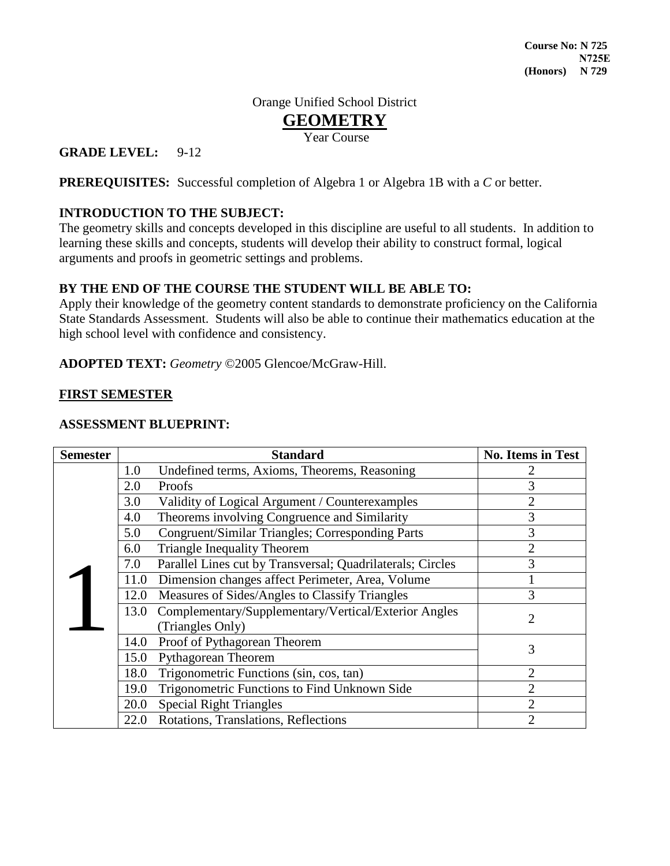# Orange Unified School District **GEOMETRY**

Year Course

# **GRADE LEVEL:** 9-12

**PREREQUISITES:** Successful completion of Algebra 1 or Algebra 1B with a *C* or better.

# **INTRODUCTION TO THE SUBJECT:**

The geometry skills and concepts developed in this discipline are useful to all students. In addition to learning these skills and concepts, students will develop their ability to construct formal, logical arguments and proofs in geometric settings and problems.

### **BY THE END OF THE COURSE THE STUDENT WILL BE ABLE TO:**

Apply their knowledge of the geometry content standards to demonstrate proficiency on the California State Standards Assessment. Students will also be able to continue their mathematics education at the high school level with confidence and consistency.

### **ADOPTED TEXT:** *Geometry* ©2005 Glencoe/McGraw-Hill.

### **FIRST SEMESTER**

### **ASSESSMENT BLUEPRINT:**

| <b>Semester</b> |      | <b>Standard</b>                                            | <b>No. Items in Test</b> |
|-----------------|------|------------------------------------------------------------|--------------------------|
|                 | 1.0  | Undefined terms, Axioms, Theorems, Reasoning               |                          |
|                 | 2.0  | Proofs                                                     | 3                        |
|                 | 3.0  | Validity of Logical Argument / Counterexamples             | $\overline{2}$           |
|                 | 4.0  | Theorems involving Congruence and Similarity               | 3                        |
|                 | 5.0  | Congruent/Similar Triangles; Corresponding Parts           | 3                        |
|                 | 6.0  | <b>Triangle Inequality Theorem</b>                         | $\overline{2}$           |
|                 | 7.0  | Parallel Lines cut by Transversal; Quadrilaterals; Circles | 3                        |
|                 | 11.0 | Dimension changes affect Perimeter, Area, Volume           |                          |
|                 | 12.0 | Measures of Sides/Angles to Classify Triangles             | 3                        |
|                 | 13.0 | Complementary/Supplementary/Vertical/Exterior Angles       | $\overline{2}$           |
|                 |      | (Triangles Only)                                           |                          |
|                 | 14.0 | Proof of Pythagorean Theorem                               | 3                        |
|                 | 15.0 | Pythagorean Theorem                                        |                          |
|                 | 18.0 | Trigonometric Functions (sin, cos, tan)                    | $\overline{2}$           |
|                 | 19.0 | Trigonometric Functions to Find Unknown Side               | $\overline{2}$           |
|                 | 20.0 | <b>Special Right Triangles</b>                             | $\overline{2}$           |
|                 | 22.0 | Rotations, Translations, Reflections                       | $\overline{2}$           |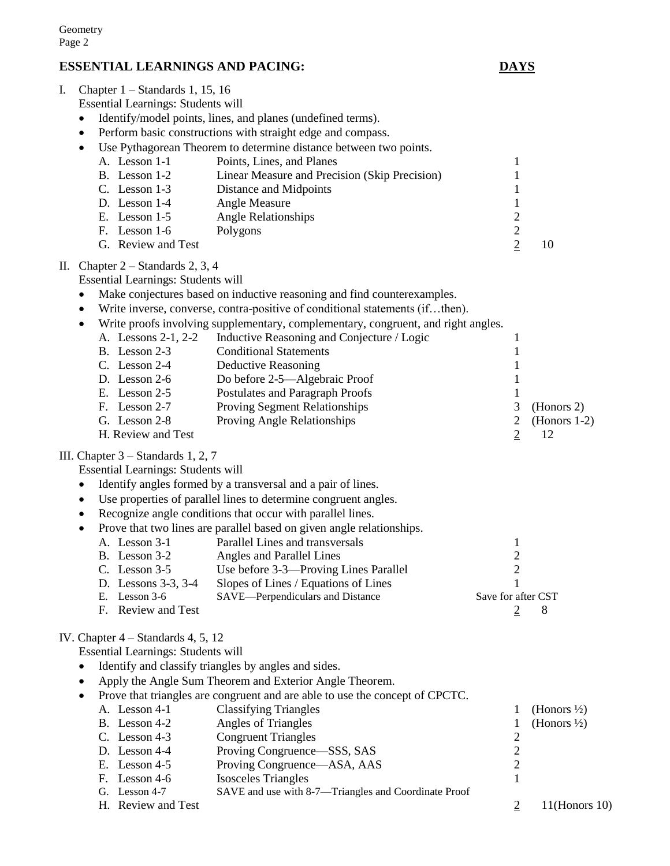# **ESSENTIAL LEARNINGS AND PACING: DAYS**

F. Lesson 1-6 Polygons

I. Chapter 1 – Standards 1, 15, 16 Essential Learnings: Students will

# Identify/model points, lines, and planes (undefined terms). • Perform basic constructions with straight edge and compass. Use Pythagorean Theorem to determine distance between two points. A. Lesson 1-1 Points, Lines, and Planes 1 B. Lesson 1-2 Linear Measure and Precision (Skip Precision) 1 C. Lesson 1-3 Distance and Midpoints 1 D. Lesson 1-4 Angle Measure 1<br>
E. Lesson 1-5 Angle Relationships 2 E. Lesson 1-5 Angle Relationships 2<br>
F. Lesson 1-6 Polygons 2 G. Review and Test 2 10 Make conjectures based on inductive reasoning and find counterexamples.

 Write inverse, converse, contra-positive of conditional statements (if…then). Write proofs involving supplementary, complementary, congruent, and right angles. A. Lessons 2-1, 2-2 Inductive Reasoning and Conjecture / Logic 1 B. Lesson 2-3 Conditional Statements 1 C. Lesson 2-4 Deductive Reasoning 1 D. Lesson 2-6 Do before 2-5—Algebraic Proof 1 E. Lesson 2-5 Postulates and Paragraph Proofs 1 F. Lesson 2-7 Proving Segment Relationships 3 (Honors 2) G. Lesson 2-8 Proving Angle Relationships 2 (Honors 1-2) H. Review and Test 2 12

#### III. Chapter 3 – Standards 1, 2, 7

II. Chapter 2 – Standards 2, 3, 4

Essential Learnings: Students will

Essential Learnings: Students will

- Identify angles formed by a transversal and a pair of lines.
- Use properties of parallel lines to determine congruent angles.
- Recognize angle conditions that occur with parallel lines.
	- Prove that two lines are parallel based on given angle relationships. A. Lesson 3-1 Parallel Lines and transversals 1 B. Lesson 3-2 Angles and Parallel Lines 2 C. Lesson 3-5 Use before 3-3—Proving Lines Parallel 2 D. Lessons 3-3, 3-4 Slopes of Lines / Equations of Lines 1
		- E. Lesson 3-6 SAVE—Perpendiculars and Distance Save for after CST F. Review and Test 2 8

#### IV. Chapter 4 – Standards 4, 5, 12

Essential Learnings: Students will

- Identify and classify triangles by angles and sides.
- Apply the Angle Sum Theorem and Exterior Angle Theorem.
- Prove that triangles are congruent and are able to use the concept of CPCTC. A. Lesson 4-1 Classifying Triangles 1 (Honors  $\frac{1}{2}$ ) B. Lesson 4-2 Angles of Triangles 1 (Honors  $\frac{1}{2}$ ) C. Lesson 4-3 Congruent Triangles 2 D. Lesson 4-4 Proving Congruence—SSS, SAS 2<br>
E. Lesson 4-5 Proving Congruence—ASA, AAS 2 E. Lesson 4-5 Proving Congruence—ASA, AAS F. Lesson 4-6 Isosceles Triangles 1 G. Lesson 4-7 SAVE and use with 8-7—Triangles and Coordinate Proof H. Review and Test 2 11(Honors 10)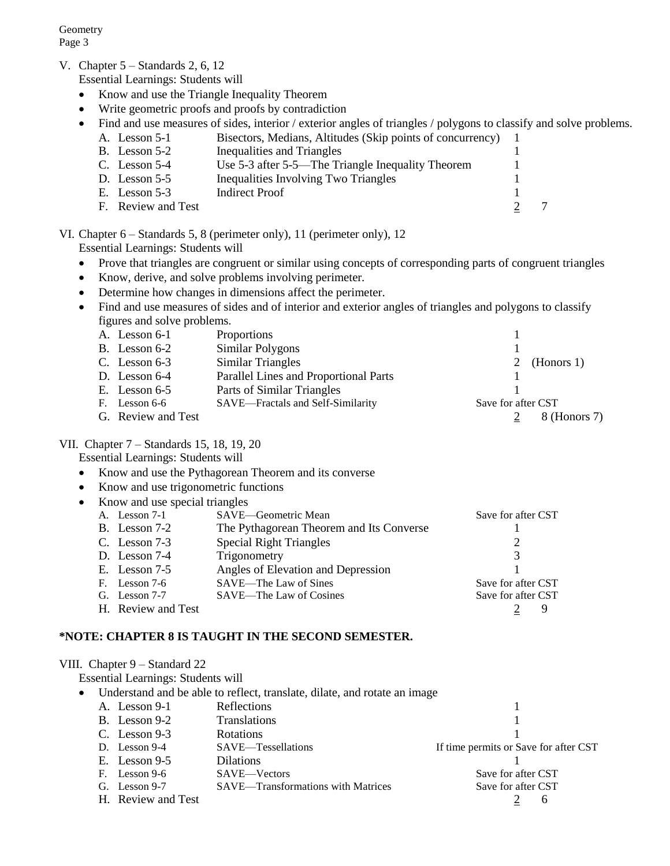V. Chapter 5 – Standards 2, 6, 12

Essential Learnings: Students will

- Know and use the Triangle Inequality Theorem
- Write geometric proofs and proofs by contradiction
- Find and use measures of sides, interior / exterior angles of triangles / polygons to classify and solve problems. A. Lesson 5-1 Bisectors, Medians, Altitudes (Skip points of concurrency) 1
	- B. Lesson 5-2 Inequalities and Triangles 1
	- C. Lesson 5-4 Use 5-3 after 5-5—The Triangle Inequality Theorem 1
	- D. Lesson 5-5 Inequalities Involving Two Triangles 1
	- E. Lesson 5-3 Indirect Proof 1
	- F. Review and Test 2 7
	-

# VI. Chapter 6 – Standards 5, 8 (perimeter only), 11 (perimeter only), 12

- Essential Learnings: Students will
- Prove that triangles are congruent or similar using concepts of corresponding parts of congruent triangles
- Know, derive, and solve problems involving perimeter.
- Determine how changes in dimensions affect the perimeter.
- Find and use measures of sides and of interior and exterior angles of triangles and polygons to classify figures and solve problems.

| A. Lesson 6-1      | Proportions                           |                    |              |
|--------------------|---------------------------------------|--------------------|--------------|
| B. Lesson $6-2$    | Similar Polygons                      |                    |              |
| C. Lesson $6-3$    | Similar Triangles                     |                    | 2 (Honors 1) |
| D. Lesson $6-4$    | Parallel Lines and Proportional Parts |                    |              |
| E. Lesson $6-5$    | Parts of Similar Triangles            |                    |              |
| F. Lesson 6-6      | SAVE-Fractals and Self-Similarity     | Save for after CST |              |
| G. Review and Test |                                       |                    | 8 (Honors 7) |

#### VII. Chapter 7 – Standards 15, 18, 19, 20

Essential Learnings: Students will

- Know and use the Pythagorean Theorem and its converse
- Know and use trigonometric functions

| • Know and use special triangles |                                          |                    |
|----------------------------------|------------------------------------------|--------------------|
| A. Lesson 7-1                    | SAVE-Geometric Mean                      | Save for after CST |
| B. Lesson 7-2                    | The Pythagorean Theorem and Its Converse |                    |
| C. Lesson $7-3$                  | <b>Special Right Triangles</b>           |                    |
| D. Lesson $7-4$                  | Trigonometry                             | 3                  |
| E. Lesson $7-5$                  | Angles of Elevation and Depression       |                    |
| F. Lesson 7-6                    | SAVE—The Law of Sines                    | Save for after CST |
| G. Lesson 7-7                    | SAVE—The Law of Cosines                  | Save for after CST |
| H. Review and Test               |                                          |                    |

#### **\*NOTE: CHAPTER 8 IS TAUGHT IN THE SECOND SEMESTER.**

| VIII. Chapter 9 – Standard 22      |                                                                           |                                       |
|------------------------------------|---------------------------------------------------------------------------|---------------------------------------|
| Essential Learnings: Students will |                                                                           |                                       |
| $\bullet$                          | Understand and be able to reflect, translate, dilate, and rotate an image |                                       |
| A. Lesson 9-1                      | <b>Reflections</b>                                                        |                                       |
| B. Lesson 9-2                      | <b>Translations</b>                                                       |                                       |
| C. Lesson $9-3$                    | <b>Rotations</b>                                                          |                                       |
| D. Lesson $9-4$                    | SAVE—Tessellations                                                        | If time permits or Save for after CST |
| E. Lesson $9-5$                    | Dilations                                                                 |                                       |
| Lesson 9-6<br>F.                   | SAVE-Vectors                                                              | Save for after CST                    |
| G. Lesson $9-7$                    | <b>SAVE—Transformations with Matrices</b>                                 | Save for after CST                    |
| H. Review and Test                 |                                                                           | h                                     |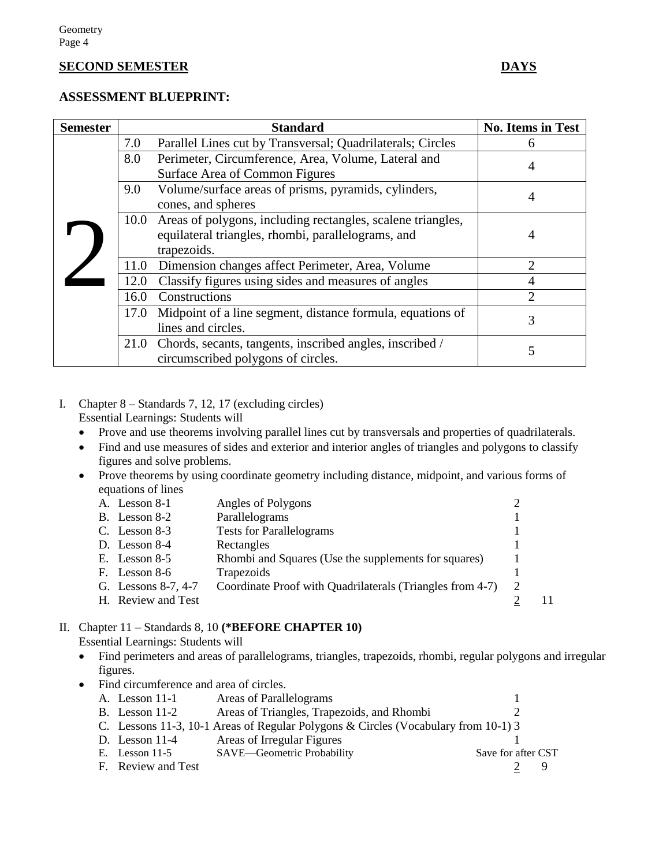#### **SECOND SEMESTER DAYS**

#### **ASSESSMENT BLUEPRINT:**

| <b>Semester</b> |      | <b>Standard</b>                                                  | <b>No. Items in Test</b>    |
|-----------------|------|------------------------------------------------------------------|-----------------------------|
|                 | 7.0  | Parallel Lines cut by Transversal; Quadrilaterals; Circles       | 6                           |
|                 | 8.0  | Perimeter, Circumference, Area, Volume, Lateral and              | 4                           |
|                 |      | Surface Area of Common Figures                                   |                             |
|                 | 9.0  | Volume/surface areas of prisms, pyramids, cylinders,             | 4                           |
|                 |      | cones, and spheres                                               |                             |
|                 |      | 10.0 Areas of polygons, including rectangles, scalene triangles, |                             |
|                 |      | equilateral triangles, rhombi, parallelograms, and               | 4                           |
|                 |      | trapezoids.                                                      |                             |
|                 | 11.0 | Dimension changes affect Perimeter, Area, Volume                 | 2                           |
|                 | 12.0 | Classify figures using sides and measures of angles              |                             |
|                 | 16.0 | Constructions                                                    | $\mathcal{D}_{\mathcal{L}}$ |
|                 | 17.0 | Midpoint of a line segment, distance formula, equations of       | 3                           |
|                 |      | lines and circles.                                               |                             |
|                 |      | 21.0 Chords, secants, tangents, inscribed angles, inscribed /    | 5                           |
|                 |      | circumscribed polygons of circles.                               |                             |

#### I. Chapter 8 – Standards 7, 12, 17 (excluding circles) Essential Learnings: Students will

- Prove and use theorems involving parallel lines cut by transversals and properties of quadrilaterals.
- Find and use measures of sides and exterior and interior angles of triangles and polygons to classify figures and solve problems.
- Prove theorems by using coordinate geometry including distance, midpoint, and various forms of equations of lines

|    | A. Lesson 8-1       | Angles of Polygons                                        |   |  |
|----|---------------------|-----------------------------------------------------------|---|--|
|    | B. Lesson 8-2       | Parallelograms                                            |   |  |
|    | C. Lesson $8-3$     | <b>Tests for Parallelograms</b>                           |   |  |
|    | D. Lesson $8-4$     | Rectangles                                                |   |  |
|    | E. Lesson $8-5$     | Rhombi and Squares (Use the supplements for squares)      |   |  |
| F. | Lesson 8-6          | Trapezoids                                                |   |  |
|    | G. Lessons 8-7, 4-7 | Coordinate Proof with Quadrilaterals (Triangles from 4-7) | 2 |  |
|    | H. Review and Test  |                                                           |   |  |
|    |                     |                                                           |   |  |

# II. Chapter 11 – Standards 8, 10 **(\*BEFORE CHAPTER 10)**

Essential Learnings: Students will

- Find perimeters and areas of parallelograms, triangles, trapezoids, rhombi, regular polygons and irregular figures.
- Find circumference and area of circles.

| A. Lesson 11-1     | Areas of Parallelograms                                                            |                    |  |
|--------------------|------------------------------------------------------------------------------------|--------------------|--|
| B. Lesson $11-2$   | Areas of Triangles, Trapezoids, and Rhombi                                         |                    |  |
|                    | C. Lessons 11-3, 10-1 Areas of Regular Polygons & Circles (Vocabulary from 10-1) 3 |                    |  |
| D. Lesson $11-4$   | Areas of Irregular Figures                                                         |                    |  |
| E. Lesson $11-5$   | SAVE—Geometric Probability                                                         | Save for after CST |  |
| F. Review and Test |                                                                                    |                    |  |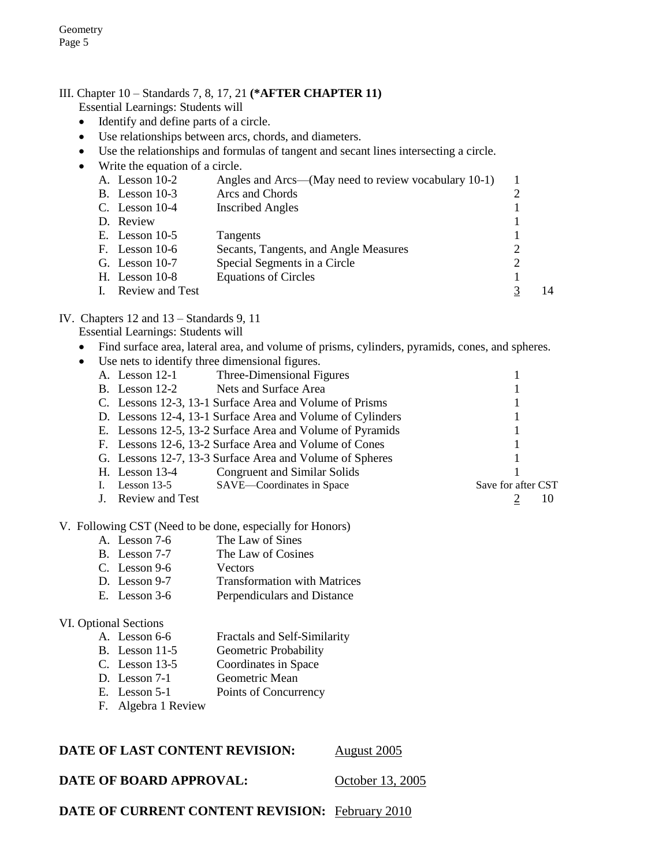# III. Chapter 10 – Standards 7, 8, 17, 21 **(\*AFTER CHAPTER 11)**

Essential Learnings: Students will

- Identify and define parts of a circle.
- Use relationships between arcs, chords, and diameters.
- Use the relationships and formulas of tangent and secant lines intersecting a circle.
- Write the equation of a circle.

|  | A. Lesson 10-2   | Angles and Arcs—(May need to review vocabulary 10-1) |    |
|--|------------------|------------------------------------------------------|----|
|  | B. Lesson $10-3$ | Arcs and Chords                                      |    |
|  | C. Lesson $10-4$ | <b>Inscribed Angles</b>                              |    |
|  | D. Review        |                                                      |    |
|  | E. Lesson $10-5$ | Tangents                                             |    |
|  | F. Lesson $10-6$ | Secants, Tangents, and Angle Measures                |    |
|  | G. Lesson $10-7$ | Special Segments in a Circle                         |    |
|  | H. Lesson $10-8$ | <b>Equations of Circles</b>                          |    |
|  | Review and Test  |                                                      | 14 |
|  |                  |                                                      |    |

#### IV. Chapters 12 and 13 – Standards 9, 11

Essential Learnings: Students will

Find surface area, lateral area, and volume of prisms, cylinders, pyramids, cones, and spheres.

|                        | Use nets to identify three dimensional figures.            |                    |  |
|------------------------|------------------------------------------------------------|--------------------|--|
| A. Lesson $12-1$       | Three-Dimensional Figures                                  |                    |  |
| B. Lesson $12-2$       | Nets and Surface Area                                      |                    |  |
|                        | C. Lessons 12-3, 13-1 Surface Area and Volume of Prisms    |                    |  |
|                        | D. Lessons 12-4, 13-1 Surface Area and Volume of Cylinders |                    |  |
|                        | E. Lessons 12-5, 13-2 Surface Area and Volume of Pyramids  |                    |  |
|                        | F. Lessons 12-6, 13-2 Surface Area and Volume of Cones     |                    |  |
|                        | G. Lessons 12-7, 13-3 Surface Area and Volume of Spheres   |                    |  |
| H. Lesson $13-4$       | Congruent and Similar Solids                               |                    |  |
| Lesson $13-5$          | SAVE-Coordinates in Space                                  | Save for after CST |  |
| <b>Review and Test</b> |                                                            |                    |  |

#### V. Following CST (Need to be done, especially for Honors)

A. Lesson 7-6 The Law of Sines<br>B. Lesson 7-7 The Law of Cosin The Law of Cosines C. Lesson 9-6 Vectors D. Lesson 9-7 Transformation with Matrices E. Lesson 3-6 Perpendiculars and Distance

#### VI. Optional Sections

|  | A. Lesson 6-6 |  |  |  | Fractals and Self-Similarity |
|--|---------------|--|--|--|------------------------------|
|  |               |  |  |  | .                            |

- B. Lesson 11-5 Geometric Probability
- C. Lesson 13-5 Coordinates in Space
- D. Lesson 7-1 Geometric Mean
- E. Lesson 5-1 Points of Concurrency
- F. Algebra 1 Review

#### **DATE OF LAST CONTENT REVISION:** August 2005

#### **DATE OF BOARD APPROVAL:** October 13, 2005

**DATE OF CURRENT CONTENT REVISION:** February 2010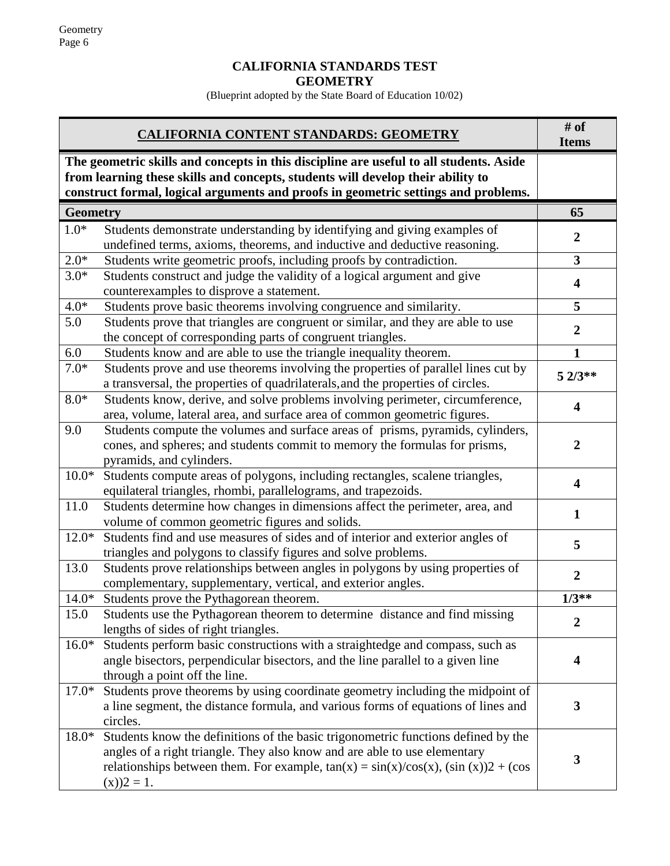# **CALIFORNIA STANDARDS TEST GEOMETRY**

(Blueprint adopted by the State Board of Education 10/02)

|                 | <b>CALIFORNIA CONTENT STANDARDS: GEOMETRY</b>                                                                                                                                                                                                                                 | # of<br><b>Items</b>    |
|-----------------|-------------------------------------------------------------------------------------------------------------------------------------------------------------------------------------------------------------------------------------------------------------------------------|-------------------------|
|                 | The geometric skills and concepts in this discipline are useful to all students. Aside<br>from learning these skills and concepts, students will develop their ability to<br>construct formal, logical arguments and proofs in geometric settings and problems.               |                         |
| <b>Geometry</b> |                                                                                                                                                                                                                                                                               | 65                      |
| $1.0*$          | Students demonstrate understanding by identifying and giving examples of<br>undefined terms, axioms, theorems, and inductive and deductive reasoning.                                                                                                                         | $\overline{2}$          |
| $2.0*$          | Students write geometric proofs, including proofs by contradiction.                                                                                                                                                                                                           | $\overline{\mathbf{3}}$ |
| $3.0*$          | Students construct and judge the validity of a logical argument and give<br>counterexamples to disprove a statement.                                                                                                                                                          | 4                       |
| $4.0*$          | Students prove basic theorems involving congruence and similarity.                                                                                                                                                                                                            | 5                       |
| 5.0             | Students prove that triangles are congruent or similar, and they are able to use<br>the concept of corresponding parts of congruent triangles.                                                                                                                                | $\overline{2}$          |
| 6.0             | Students know and are able to use the triangle inequality theorem.                                                                                                                                                                                                            | $\mathbf{1}$            |
| $7.0*$          | Students prove and use theorems involving the properties of parallel lines cut by<br>a transversal, the properties of quadrilaterals, and the properties of circles.                                                                                                          | $52/3**$                |
| $8.0*$          | Students know, derive, and solve problems involving perimeter, circumference,<br>area, volume, lateral area, and surface area of common geometric figures.                                                                                                                    | 4                       |
| 9.0             | Students compute the volumes and surface areas of prisms, pyramids, cylinders,<br>cones, and spheres; and students commit to memory the formulas for prisms,<br>pyramids, and cylinders.                                                                                      | $\overline{2}$          |
| $10.0*$         | Students compute areas of polygons, including rectangles, scalene triangles,<br>equilateral triangles, rhombi, parallelograms, and trapezoids.                                                                                                                                | $\overline{\mathbf{4}}$ |
| 11.0            | Students determine how changes in dimensions affect the perimeter, area, and<br>volume of common geometric figures and solids.                                                                                                                                                | $\mathbf{1}$            |
| $12.0*$         | Students find and use measures of sides and of interior and exterior angles of<br>triangles and polygons to classify figures and solve problems.                                                                                                                              | 5                       |
| 13.0            | Students prove relationships between angles in polygons by using properties of<br>complementary, supplementary, vertical, and exterior angles.                                                                                                                                | $\overline{2}$          |
|                 | 14.0* Students prove the Pythagorean theorem.                                                                                                                                                                                                                                 | $1/3**$                 |
| 15.0            | Students use the Pythagorean theorem to determine distance and find missing<br>lengths of sides of right triangles.                                                                                                                                                           | $\boldsymbol{2}$        |
| $16.0*$         | Students perform basic constructions with a straightedge and compass, such as<br>angle bisectors, perpendicular bisectors, and the line parallel to a given line<br>through a point off the line.                                                                             | 4                       |
| $17.0*$         | Students prove theorems by using coordinate geometry including the midpoint of<br>a line segment, the distance formula, and various forms of equations of lines and<br>circles.                                                                                               | $\mathbf{3}$            |
| $18.0*$         | Students know the definitions of the basic trigonometric functions defined by the<br>angles of a right triangle. They also know and are able to use elementary<br>relationships between them. For example, $tan(x) = sin(x)/cos(x)$ , $(sin(x))2 + (cos(x))$<br>$(x)$ )2 = 1. | 3                       |